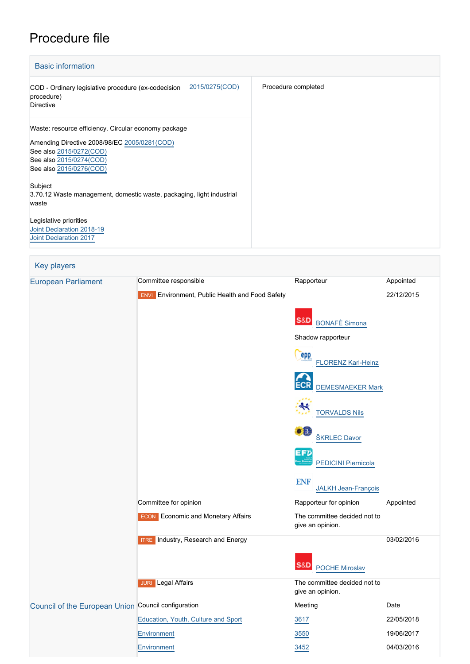## Procedure file

| <b>Basic information</b>                                                                                                                                                              |                     |
|---------------------------------------------------------------------------------------------------------------------------------------------------------------------------------------|---------------------|
| 2015/0275(COD)<br>COD - Ordinary legislative procedure (ex-codecision<br>procedure)<br><b>Directive</b>                                                                               | Procedure completed |
| Waste: resource efficiency. Circular economy package<br>Amending Directive 2008/98/EC 2005/0281(COD)<br>See also 2015/0272(COD)<br>See also 2015/0274(COD)<br>See also 2015/0276(COD) |                     |
| Subject<br>3.70.12 Waste management, domestic waste, packaging, light industrial<br>waste                                                                                             |                     |
| Legislative priorities<br>Joint Declaration 2018-19<br><b>Joint Declaration 2017</b>                                                                                                  |                     |

| <b>Key players</b>                                  |                                                        |                                                  |            |
|-----------------------------------------------------|--------------------------------------------------------|--------------------------------------------------|------------|
| <b>European Parliament</b>                          | Committee responsible                                  | Rapporteur                                       | Appointed  |
|                                                     | <b>ENVI</b> Environment, Public Health and Food Safety |                                                  | 22/12/2015 |
|                                                     |                                                        | S&D<br><b>BONAFÈ Simona</b>                      |            |
|                                                     |                                                        | Shadow rapporteur                                |            |
|                                                     |                                                        | epp<br><b>FLORENZ Karl-Heinz</b>                 |            |
|                                                     |                                                        | <b>DEMESMAEKER Mark</b>                          |            |
|                                                     |                                                        | <b>TORVALDS Nils</b>                             |            |
|                                                     |                                                        | JB.<br>ŠKRLEC Davor                              |            |
|                                                     |                                                        | EFD<br><b>PEDICINI Piernicola</b>                |            |
|                                                     |                                                        | <b>ENF</b><br><b>JALKH Jean-François</b>         |            |
|                                                     | Committee for opinion                                  | Rapporteur for opinion                           | Appointed  |
|                                                     | <b>ECON</b> Economic and Monetary Affairs              | The committee decided not to<br>give an opinion. |            |
|                                                     | <b>ITRE</b> Industry, Research and Energy              |                                                  | 03/02/2016 |
|                                                     |                                                        | <b>POCHE Miroslav</b>                            |            |
|                                                     | <b>JURI</b> Legal Affairs                              | The committee decided not to<br>give an opinion. |            |
| Council of the European Union Council configuration |                                                        | Meeting                                          | Date       |
|                                                     | Education, Youth, Culture and Sport                    | 3617                                             | 22/05/2018 |
|                                                     | Environment                                            | 3550                                             | 19/06/2017 |
|                                                     | <b>Environment</b>                                     | 3452                                             | 04/03/2016 |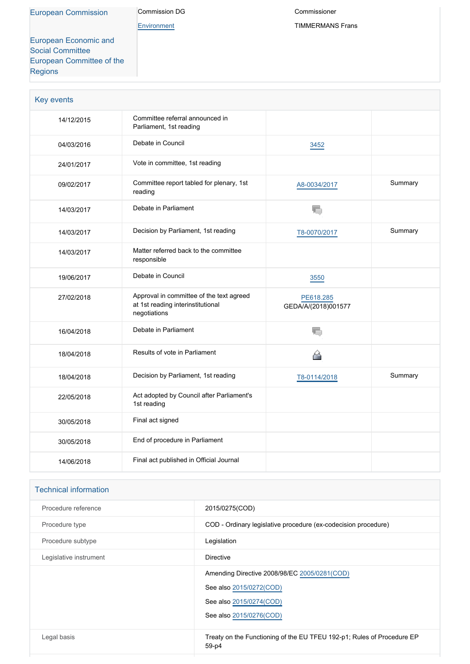[Environment](http://ec.europa.eu/info/departments/environment_en)

Commissioner TIMMERMANS Frans

[European Economic and](http://www.eesc.europa.eu/) [Social Committee](http://www.eesc.europa.eu/) [European Committee of the](http://www.cor.europa.eu/) [Regions](http://www.cor.europa.eu/)

| Key events |                                                                                               |                                  |         |
|------------|-----------------------------------------------------------------------------------------------|----------------------------------|---------|
| 14/12/2015 | Committee referral announced in<br>Parliament, 1st reading                                    |                                  |         |
| 04/03/2016 | Debate in Council                                                                             | 3452                             |         |
| 24/01/2017 | Vote in committee, 1st reading                                                                |                                  |         |
| 09/02/2017 | Committee report tabled for plenary, 1st<br>reading                                           | A8-0034/2017                     | Summary |
| 14/03/2017 | Debate in Parliament                                                                          | 疝                                |         |
| 14/03/2017 | Decision by Parliament, 1st reading                                                           | T8-0070/2017                     | Summary |
| 14/03/2017 | Matter referred back to the committee<br>responsible                                          |                                  |         |
| 19/06/2017 | Debate in Council                                                                             | 3550                             |         |
| 27/02/2018 | Approval in committee of the text agreed<br>at 1st reading interinstitutional<br>negotiations | PE618.285<br>GEDA/A/(2018)001577 |         |
| 16/04/2018 | Debate in Parliament                                                                          | 局                                |         |
| 18/04/2018 | Results of vote in Parliament                                                                 | 심                                |         |
| 18/04/2018 | Decision by Parliament, 1st reading                                                           | T8-0114/2018                     | Summary |
| 22/05/2018 | Act adopted by Council after Parliament's<br>1st reading                                      |                                  |         |
| 30/05/2018 | Final act signed                                                                              |                                  |         |
| 30/05/2018 | End of procedure in Parliament                                                                |                                  |         |
| 14/06/2018 | Final act published in Official Journal                                                       |                                  |         |

| <b>Technical information</b> |                                                                                 |
|------------------------------|---------------------------------------------------------------------------------|
| Procedure reference          | 2015/0275(COD)                                                                  |
| Procedure type               | COD - Ordinary legislative procedure (ex-codecision procedure)                  |
| Procedure subtype            | Legislation                                                                     |
| Legislative instrument       | <b>Directive</b>                                                                |
|                              | Amending Directive 2008/98/EC 2005/0281(COD)                                    |
|                              | See also 2015/0272(COD)                                                         |
|                              | See also 2015/0274(COD)                                                         |
|                              | See also 2015/0276(COD)                                                         |
| Legal basis                  | Treaty on the Functioning of the EU TFEU 192-p1; Rules of Procedure EP<br>59-p4 |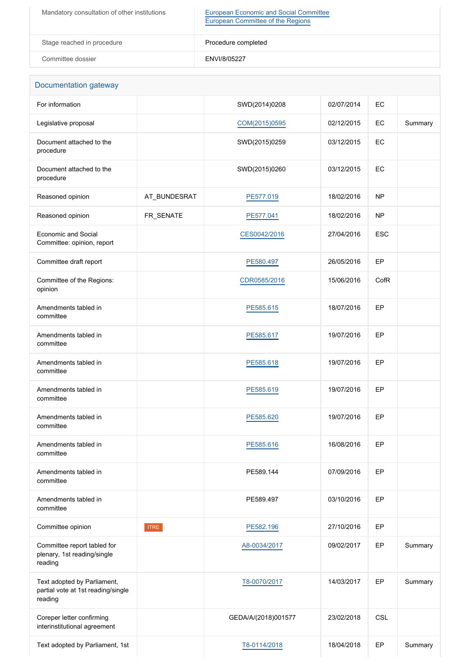| Mandatory consultation of other institutions | <b>European Economic and Social Committee</b><br>European Committee of the Regions |
|----------------------------------------------|------------------------------------------------------------------------------------|
| Stage reached in procedure                   | Procedure completed                                                                |
| Committee dossier                            | ENVI/8/05227                                                                       |

| Documentation gateway                                                        |              |                     |            |            |         |
|------------------------------------------------------------------------------|--------------|---------------------|------------|------------|---------|
| For information                                                              |              | SWD(2014)0208       | 02/07/2014 | EC         |         |
| Legislative proposal                                                         |              | COM(2015)0595       | 02/12/2015 | EC         | Summary |
| Document attached to the<br>procedure                                        |              | SWD(2015)0259       | 03/12/2015 | EC         |         |
| Document attached to the<br>procedure                                        |              | SWD(2015)0260       | 03/12/2015 | EC         |         |
| Reasoned opinion                                                             | AT_BUNDESRAT | PE577.019           | 18/02/2016 | <b>NP</b>  |         |
| Reasoned opinion                                                             | FR_SENATE    | PE577.041           | 18/02/2016 | <b>NP</b>  |         |
| Economic and Social<br>Committee: opinion, report                            |              | CES0042/2016        | 27/04/2016 | <b>ESC</b> |         |
| Committee draft report                                                       |              | PE580.497           | 26/05/2016 | EP         |         |
| Committee of the Regions:<br>opinion                                         |              | CDR0585/2016        | 15/06/2016 | CofR       |         |
| Amendments tabled in<br>committee                                            |              | PE585.615           | 18/07/2016 | EP         |         |
| Amendments tabled in<br>committee                                            |              | PE585.617           | 19/07/2016 | EP         |         |
| Amendments tabled in<br>committee                                            |              | PE585.618           | 19/07/2016 | EP         |         |
| Amendments tabled in<br>committee                                            |              | PE585.619           | 19/07/2016 | EP         |         |
| Amendments tabled in<br>committee                                            |              | PE585.620           | 19/07/2016 | EP         |         |
| Amendments tabled in<br>committee                                            |              | PE585.616           | 16/08/2016 | EP         |         |
| Amendments tabled in<br>committee                                            |              | PE589.144           | 07/09/2016 | EP         |         |
| Amendments tabled in<br>committee                                            |              | PE589.497           | 03/10/2016 | EP         |         |
| Committee opinion                                                            | <b>ITRE</b>  | PE582.196           | 27/10/2016 | EP         |         |
| Committee report tabled for<br>plenary, 1st reading/single<br>reading        |              | A8-0034/2017        | 09/02/2017 | EP         | Summary |
| Text adopted by Parliament,<br>partial vote at 1st reading/single<br>reading |              | T8-0070/2017        | 14/03/2017 | EP         | Summary |
| Coreper letter confirming<br>interinstitutional agreement                    |              | GEDA/A/(2018)001577 | 23/02/2018 | <b>CSL</b> |         |
| Text adopted by Parliament, 1st                                              |              | T8-0114/2018        | 18/04/2018 | EP         | Summary |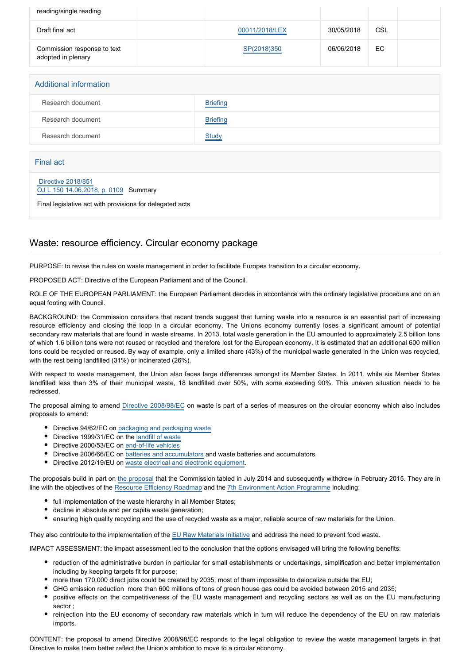| reading/single reading                            |                |            |     |  |
|---------------------------------------------------|----------------|------------|-----|--|
| Draft final act                                   | 00011/2018/LEX | 30/05/2018 | CSL |  |
| Commission response to text<br>adopted in plenary | SP(2018)350    | 06/06/2018 | EC. |  |

# Additional information Research document **[Briefing](http://www.europarl.europa.eu/thinktank/en/document.html?reference=EPRS_BRI(2018)625108)** Research document [Briefing](http://www.europarl.europa.eu/thinktank/en/document.html?reference=EPRS_BRI(2017)599288) Research document [Study](http://www.europarl.europa.eu/thinktank/en/document.html?reference=IPOL_STU(2017)602059)

#### Final act

#### [Directive 2018/851](https://eur-lex.europa.eu/smartapi/cgi/sga_doc?smartapi!celexplus!prod!CELEXnumdoc&lg=EN&numdoc=32018L0851) [OJ L 150 14.06.2018, p. 0109](https://eur-lex.europa.eu/legal-content/EN/TXT/?uri=OJ:L:2018:150:TOC) Summary

Final legislative act with provisions for delegated acts

### Waste: resource efficiency. Circular economy package

PURPOSE: to revise the rules on waste management in order to facilitate Europes transition to a circular economy.

PROPOSED ACT: Directive of the European Parliament and of the Council.

ROLE OF THE EUROPEAN PARLIAMENT: the European Parliament decides in accordance with the ordinary legislative procedure and on an equal footing with Council.

BACKGROUND: the Commission considers that recent trends suggest that turning waste into a resource is an essential part of increasing resource efficiency and closing the loop in a circular economy. The Unions economy currently loses a significant amount of potential secondary raw materials that are found in waste streams. In 2013, total waste generation in the EU amounted to approximately 2.5 billion tons of which 1.6 billion tons were not reused or recycled and therefore lost for the European economy. It is estimated that an additional 600 million tons could be recycled or reused. By way of example, only a limited share (43%) of the municipal waste generated in the Union was recycled, with the rest being landfilled (31%) or incinerated (26%).

With respect to waste management, the Union also faces large differences amongst its Member States. In 2011, while six Member States landfilled less than 3% of their municipal waste, 18 landfilled over 50%, with some exceeding 90%. This uneven situation needs to be redressed.

The proposal aiming to amend [Directive 2008/98/EC](http://www.europarl.europa.eu/oeil/popups/ficheprocedure.do?reference=2005/0281(COD)&l=en) on waste is part of a series of measures on the circular economy which also includes proposals to amend:

- Directive 94/62/EC on [packaging and packaging waste](http://www.europarl.europa.eu/oeil/popups/ficheprocedure.do?reference=2015/0276(COD)&l=en)
- Directive 1999/31/EC on the [landfill of waste](http://www.europarl.europa.eu/oeil/popups/ficheprocedure.do?reference=2015/0274(COD)&l=en)
- Directive 2000/53/EC on [end-of-life vehicles](http://www.europarl.europa.eu/oeil/popups/ficheprocedure.do?reference=2015/0272(COD)&l=en)
- Directive 2006/66/EC on **[batteries and accumulators](http://www.europarl.europa.eu/oeil/popups/ficheprocedure.do?reference=2015/0272(COD)&l=en) and waste batteries and accumulators**.
- Directive 2012/19/EU on [waste electrical and electronic equipment.](http://www.europarl.europa.eu/oeil/popups/ficheprocedure.do?reference=2015/0272(COD)&l=en)

The proposals build in part on [the proposal](http://www.europarl.europa.eu/oeil/popups/ficheprocedure.do?reference=2014/0201(COD)&l=en) that the Commission tabled in July 2014 and subsequently withdrew in February 2015. They are in line with the objectives of the [Resource Efficiency Roadmap](http://eur-lex.europa.eu/legal-content/EN/TXT/PDF/?uri=CELEX:52011DC0571&rid=1) and the [7th Environment Action Programme](http://www.europarl.europa.eu/oeil/popups/ficheprocedure.do?reference=2012/0337(COD)&l=en) including:

- full implementation of the waste hierarchy in all Member States;
- decline in absolute and per capita waste generation;
- ensuring high quality recycling and the use of recycled waste as a major, reliable source of raw materials for the Union.

They also contribute to the implementation of the [EU Raw Materials Initiative](http://eur-lex.europa.eu/legal-content/EN/TXT/PDF/?uri=CELEX:52008DC0699&rid=1) and address the need to prevent food waste.

IMPACT ASSESSMENT: the impact assessment led to the conclusion that the options envisaged will bring the following benefits:

- reduction of the administrative burden in particular for small establishments or undertakings, simplification and better implementation including by keeping targets fit for purpose;
- more than 170,000 direct jobs could be created by 2035, most of them impossible to delocalize outside the EU;
	- GHG emission reduction more than 600 millions of tons of green house gas could be avoided between 2015 and 2035;
- positive effects on the competitiveness of the EU waste management and recycling sectors as well as on the EU manufacturing sector ;
- reinjection into the EU economy of secondary raw materials which in turn will reduce the dependency of the EU on raw materials imports.

CONTENT: the proposal to amend Directive 2008/98/EC responds to the legal obligation to review the waste management targets in that Directive to make them better reflect the Union's ambition to move to a circular economy.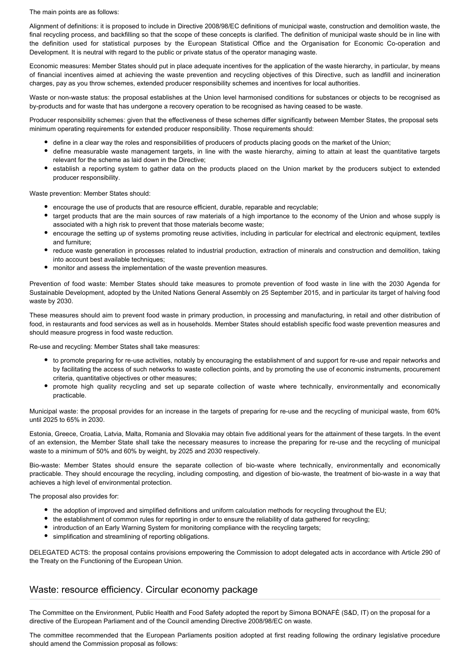The main points are as follows:

Alignment of definitions: it is proposed to include in Directive 2008/98/EC definitions of municipal waste, construction and demolition waste, the final recycling process, and backfilling so that the scope of these concepts is clarified. The definition of municipal waste should be in line with the definition used for statistical purposes by the European Statistical Office and the Organisation for Economic Co-operation and Development. It is neutral with regard to the public or private status of the operator managing waste.

Economic measures: Member States should put in place adequate incentives for the application of the waste hierarchy, in particular, by means of financial incentives aimed at achieving the waste prevention and recycling objectives of this Directive, such as landfill and incineration charges, pay as you throw schemes, extended producer responsibility schemes and incentives for local authorities.

Waste or non-waste status: the proposal establishes at the Union level harmonised conditions for substances or objects to be recognised as by-products and for waste that has undergone a recovery operation to be recognised as having ceased to be waste.

Producer responsibility schemes: given that the effectiveness of these schemes differ significantly between Member States, the proposal sets minimum operating requirements for extended producer responsibility. Those requirements should:

- define in a clear way the roles and responsibilities of producers of products placing goods on the market of the Union;
- define measurable waste management targets, in line with the waste hierarchy, aiming to attain at least the quantitative targets relevant for the scheme as laid down in the Directive;
- establish a reporting system to gather data on the products placed on the Union market by the producers subject to extended producer responsibility.

Waste prevention: Member States should:

- encourage the use of products that are resource efficient, durable, reparable and recyclable;
- target products that are the main sources of raw materials of a high importance to the economy of the Union and whose supply is associated with a high risk to prevent that those materials become waste;
- encourage the setting up of systems promoting reuse activities, including in particular for electrical and electronic equipment, textiles and furniture;
- $\bullet$ reduce waste generation in processes related to industrial production, extraction of minerals and construction and demolition, taking into account best available techniques;
- monitor and assess the implementation of the waste prevention measures.

Prevention of food waste: Member States should take measures to promote prevention of food waste in line with the 2030 Agenda for Sustainable Development, adopted by the United Nations General Assembly on 25 September 2015, and in particular its target of halving food waste by 2030.

These measures should aim to prevent food waste in primary production, in processing and manufacturing, in retail and other distribution of food, in restaurants and food services as well as in households. Member States should establish specific food waste prevention measures and should measure progress in food waste reduction.

Re-use and recycling: Member States shall take measures:

- to promote preparing for re-use activities, notably by encouraging the establishment of and support for re-use and repair networks and by facilitating the access of such networks to waste collection points, and by promoting the use of economic instruments, procurement criteria, quantitative objectives or other measures;
- promote high quality recycling and set up separate collection of waste where technically, environmentally and economically practicable.

Municipal waste: the proposal provides for an increase in the targets of preparing for re-use and the recycling of municipal waste, from 60% until 2025 to 65% in 2030.

Estonia, Greece, Croatia, Latvia, Malta, Romania and Slovakia may obtain five additional years for the attainment of these targets. In the event of an extension, the Member State shall take the necessary measures to increase the preparing for re-use and the recycling of municipal waste to a minimum of 50% and 60% by weight, by 2025 and 2030 respectively.

Bio-waste: Member States should ensure the separate collection of bio-waste where technically, environmentally and economically practicable. They should encourage the recycling, including composting, and digestion of bio-waste, the treatment of bio-waste in a way that achieves a high level of environmental protection.

The proposal also provides for:

- the adoption of improved and simplified definitions and uniform calculation methods for recycling throughout the EU;
- the establishment of common rules for reporting in order to ensure the reliability of data gathered for recycling;
- introduction of an Early Warning System for monitoring compliance with the recycling targets;
- simplification and streamlining of reporting obligations.

DELEGATED ACTS: the proposal contains provisions empowering the Commission to adopt delegated acts in accordance with Article 290 of the Treaty on the Functioning of the European Union.

### Waste: resource efficiency. Circular economy package

The Committee on the Environment, Public Health and Food Safety adopted the report by Simona BONAFÈ (S&D, IT) on the proposal for a directive of the European Parliament and of the Council amending Directive 2008/98/EC on waste.

The committee recommended that the European Parliaments position adopted at first reading following the ordinary legislative procedure should amend the Commission proposal as follows: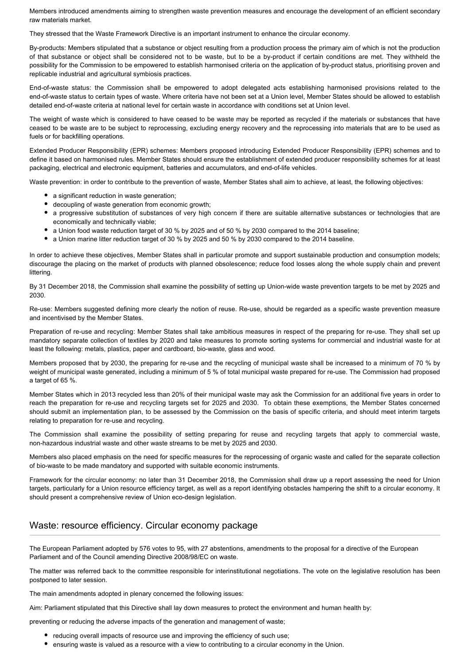Members introduced amendments aiming to strengthen waste prevention measures and encourage the development of an efficient secondary raw materials market.

They stressed that the Waste Framework Directive is an important instrument to enhance the circular economy.

By-products: Members stipulated that a substance or object resulting from a production process the primary aim of which is not the production of that substance or object shall be considered not to be waste, but to be a by-product if certain conditions are met. They withheld the possibility for the Commission to be empowered to establish harmonised criteria on the application of by-product status, prioritising proven and replicable industrial and agricultural symbiosis practices.

End-of-waste status: the Commission shall be empowered to adopt delegated acts establishing harmonised provisions related to the end-of-waste status to certain types of waste. Where criteria have not been set at a Union level, Member States should be allowed to establish detailed end-of-waste criteria at national level for certain waste in accordance with conditions set at Union level.

The weight of waste which is considered to have ceased to be waste may be reported as recycled if the materials or substances that have ceased to be waste are to be subject to reprocessing, excluding energy recovery and the reprocessing into materials that are to be used as fuels or for backfilling operations.

Extended Producer Responsibility (EPR) schemes: Members proposed introducing Extended Producer Responsibility (EPR) schemes and to define it based on harmonised rules. Member States should ensure the establishment of extended producer responsibility schemes for at least packaging, electrical and electronic equipment, batteries and accumulators, and end-of-life vehicles.

Waste prevention: in order to contribute to the prevention of waste, Member States shall aim to achieve, at least, the following objectives:

- a significant reduction in waste generation;
- decoupling of waste generation from economic growth;
- a progressive substitution of substances of very high concern if there are suitable alternative substances or technologies that are economically and technically viable;
- a Union food waste reduction target of 30 % by 2025 and of 50 % by 2030 compared to the 2014 baseline;
- a Union marine litter reduction target of 30 % by 2025 and 50 % by 2030 compared to the 2014 baseline.

In order to achieve these objectives, Member States shall in particular promote and support sustainable production and consumption models; discourage the placing on the market of products with planned obsolescence; reduce food losses along the whole supply chain and prevent littering.

By 31 December 2018, the Commission shall examine the possibility of setting up Union-wide waste prevention targets to be met by 2025 and 2030.

Re-use: Members suggested defining more clearly the notion of reuse. Re-use, should be regarded as a specific waste prevention measure and incentivised by the Member States.

Preparation of re-use and recycling: Member States shall take ambitious measures in respect of the preparing for re-use. They shall set up mandatory separate collection of textiles by 2020 and take measures to promote sorting systems for commercial and industrial waste for at least the following: metals, plastics, paper and cardboard, bio-waste, glass and wood.

Members proposed that by 2030, the preparing for re-use and the recycling of municipal waste shall be increased to a minimum of 70 % by weight of municipal waste generated, including a minimum of 5 % of total municipal waste prepared for re-use. The Commission had proposed a target of 65 %.

Member States which in 2013 recycled less than 20% of their municipal waste may ask the Commission for an additional five years in order to reach the preparation for re-use and recycling targets set for 2025 and 2030. To obtain these exemptions, the Member States concerned should submit an implementation plan, to be assessed by the Commission on the basis of specific criteria, and should meet interim targets relating to preparation for re-use and recycling.

The Commission shall examine the possibility of setting preparing for reuse and recycling targets that apply to commercial waste, non-hazardous industrial waste and other waste streams to be met by 2025 and 2030.

Members also placed emphasis on the need for specific measures for the reprocessing of organic waste and called for the separate collection of bio-waste to be made mandatory and supported with suitable economic instruments.

Framework for the circular economy: no later than 31 December 2018, the Commission shall draw up a report assessing the need for Union targets, particularly for a Union resource efficiency target, as well as a report identifying obstacles hampering the shift to a circular economy. It should present a comprehensive review of Union eco-design legislation.

### Waste: resource efficiency. Circular economy package

The European Parliament adopted by 576 votes to 95, with 27 abstentions, amendments to the proposal for a directive of the European Parliament and of the Council amending Directive 2008/98/EC on waste.

The matter was referred back to the committee responsible for interinstitutional negotiations. The vote on the legislative resolution has been postponed to later session.

The main amendments adopted in plenary concerned the following issues:

Aim: Parliament stipulated that this Directive shall lay down measures to protect the environment and human health by:

preventing or reducing the adverse impacts of the generation and management of waste;

- reducing overall impacts of resource use and improving the efficiency of such use;
- ensuring waste is valued as a resource with a view to contributing to a circular economy in the Union.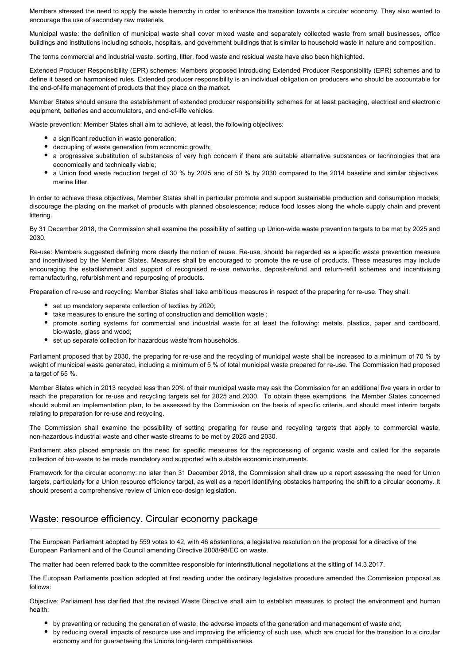Members stressed the need to apply the waste hierarchy in order to enhance the transition towards a circular economy. They also wanted to encourage the use of secondary raw materials.

Municipal waste: the definition of municipal waste shall cover mixed waste and separately collected waste from small businesses, office buildings and institutions including schools, hospitals, and government buildings that is similar to household waste in nature and composition.

The terms commercial and industrial waste, sorting, litter, food waste and residual waste have also been highlighted.

Extended Producer Responsibility (EPR) schemes: Members proposed introducing Extended Producer Responsibility (EPR) schemes and to define it based on harmonised rules. Extended producer responsibility is an individual obligation on producers who should be accountable for the end-of-life management of products that they place on the market.

Member States should ensure the establishment of extended producer responsibility schemes for at least packaging, electrical and electronic equipment, batteries and accumulators, and end-of-life vehicles.

Waste prevention: Member States shall aim to achieve, at least, the following objectives:

- a significant reduction in waste generation;
- decoupling of waste generation from economic growth;
- a progressive substitution of substances of very high concern if there are suitable alternative substances or technologies that are economically and technically viable;
- a Union food waste reduction target of 30 % by 2025 and of 50 % by 2030 compared to the 2014 baseline and similar objectives marine litter.

In order to achieve these objectives, Member States shall in particular promote and support sustainable production and consumption models; discourage the placing on the market of products with planned obsolescence; reduce food losses along the whole supply chain and prevent littering.

By 31 December 2018, the Commission shall examine the possibility of setting up Union-wide waste prevention targets to be met by 2025 and 2030.

Re-use: Members suggested defining more clearly the notion of reuse. Re-use, should be regarded as a specific waste prevention measure and incentivised by the Member States. Measures shall be encouraged to promote the re-use of products. These measures may include encouraging the establishment and support of recognised re-use networks, deposit-refund and return-refill schemes and incentivising remanufacturing, refurbishment and repurposing of products.

Preparation of re-use and recycling: Member States shall take ambitious measures in respect of the preparing for re-use. They shall:

- set up mandatory separate collection of textiles by 2020;
- take measures to ensure the sorting of construction and demolition waste ;
- promote sorting systems for commercial and industrial waste for at least the following: metals, plastics, paper and cardboard, bio-waste, glass and wood;
- set up separate collection for hazardous waste from households.

Parliament proposed that by 2030, the preparing for re-use and the recycling of municipal waste shall be increased to a minimum of 70 % by weight of municipal waste generated, including a minimum of 5 % of total municipal waste prepared for re-use. The Commission had proposed a target of 65 %.

Member States which in 2013 recycled less than 20% of their municipal waste may ask the Commission for an additional five years in order to reach the preparation for re-use and recycling targets set for 2025 and 2030. To obtain these exemptions, the Member States concerned should submit an implementation plan, to be assessed by the Commission on the basis of specific criteria, and should meet interim targets relating to preparation for re-use and recycling.

The Commission shall examine the possibility of setting preparing for reuse and recycling targets that apply to commercial waste, non-hazardous industrial waste and other waste streams to be met by 2025 and 2030.

Parliament also placed emphasis on the need for specific measures for the reprocessing of organic waste and called for the separate collection of bio-waste to be made mandatory and supported with suitable economic instruments.

Framework for the circular economy: no later than 31 December 2018, the Commission shall draw up a report assessing the need for Union targets, particularly for a Union resource efficiency target, as well as a report identifying obstacles hampering the shift to a circular economy. It should present a comprehensive review of Union eco-design legislation.

### Waste: resource efficiency. Circular economy package

The European Parliament adopted by 559 votes to 42, with 46 abstentions, a legislative resolution on the proposal for a directive of the European Parliament and of the Council amending Directive 2008/98/EC on waste.

The matter had been referred back to the committee responsible for interinstitutional negotiations at the sitting of 14.3.2017.

The European Parliaments position adopted at first reading under the ordinary legislative procedure amended the Commission proposal as follows:

Objective: Parliament has clarified that the revised Waste Directive shall aim to establish measures to protect the environment and human health:

- by preventing or reducing the generation of waste, the adverse impacts of the generation and management of waste and;
- by reducing overall impacts of resource use and improving the efficiency of such use, which are crucial for the transition to a circular economy and for guaranteeing the Unions long-term competitiveness.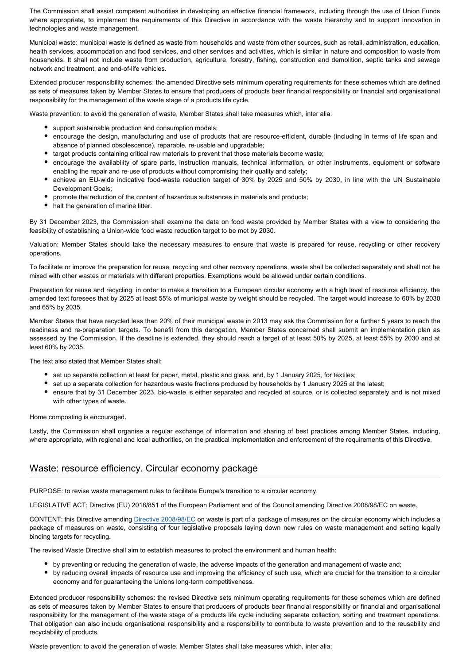The Commission shall assist competent authorities in developing an effective financial framework, including through the use of Union Funds where appropriate, to implement the requirements of this Directive in accordance with the waste hierarchy and to support innovation in technologies and waste management.

Municipal waste: municipal waste is defined as waste from households and waste from other sources, such as retail, administration, education, health services, accommodation and food services, and other services and activities, which is similar in nature and composition to waste from households. It shall not include waste from production, agriculture, forestry, fishing, construction and demolition, septic tanks and sewage network and treatment, and end-of-life vehicles.

Extended producer responsibility schemes: the amended Directive sets minimum operating requirements for these schemes which are defined as sets of measures taken by Member States to ensure that producers of products bear financial responsibility or financial and organisational responsibility for the management of the waste stage of a products life cycle.

Waste prevention: to avoid the generation of waste, Member States shall take measures which, inter alia:

- support sustainable production and consumption models;
- encourage the design, manufacturing and use of products that are resource-efficient, durable (including in terms of life span and absence of planned obsolescence), reparable, re-usable and upgradable;
- target products containing critical raw materials to prevent that those materials become waste;
- encourage the availability of spare parts, instruction manuals, technical information, or other instruments, equipment or software enabling the repair and re-use of products without compromising their quality and safety;
- achieve an EU-wide indicative food-waste reduction target of 30% by 2025 and 50% by 2030, in line with the UN Sustainable Development Goals;
- promote the reduction of the content of hazardous substances in materials and products;
- halt the generation of marine litter.

By 31 December 2023, the Commission shall examine the data on food waste provided by Member States with a view to considering the feasibility of establishing a Union-wide food waste reduction target to be met by 2030.

Valuation: Member States should take the necessary measures to ensure that waste is prepared for reuse, recycling or other recovery operations.

To facilitate or improve the preparation for reuse, recycling and other recovery operations, waste shall be collected separately and shall not be mixed with other wastes or materials with different properties. Exemptions would be allowed under certain conditions.

Preparation for reuse and recycling: in order to make a transition to a European circular economy with a high level of resource efficiency, the amended text foresees that by 2025 at least 55% of municipal waste by weight should be recycled. The target would increase to 60% by 2030 and 65% by 2035.

Member States that have recycled less than 20% of their municipal waste in 2013 may ask the Commission for a further 5 years to reach the readiness and re-preparation targets. To benefit from this derogation, Member States concerned shall submit an implementation plan as assessed by the Commission. If the deadline is extended, they should reach a target of at least 50% by 2025, at least 55% by 2030 and at least 60% by 2035.

The text also stated that Member States shall:

- set up separate collection at least for paper, metal, plastic and glass, and, by 1 January 2025, for textiles;
- set up a separate collection for hazardous waste fractions produced by households by 1 January 2025 at the latest;
- ensure that by 31 December 2023, bio-waste is either separated and recycled at source, or is collected separately and is not mixed with other types of waste.

Home composting is encouraged.

Lastly, the Commission shall organise a regular exchange of information and sharing of best practices among Member States, including, where appropriate, with regional and local authorities, on the practical implementation and enforcement of the requirements of this Directive.

#### Waste: resource efficiency. Circular economy package

PURPOSE: to revise waste management rules to facilitate Europe's transition to a circular economy.

LEGISLATIVE ACT: Directive (EU) 2018/851 of the European Parliament and of the Council amending Directive 2008/98/EC on waste.

CONTENT: this Directive amending [Directive 2008/98/EC](https://eur-lex.europa.eu/legal-content/EN/TXT/?qid=1532502181338&uri=CELEX:02008L0098-20180705) on waste is part of a package of measures on the circular economy which includes a package of measures on waste, consisting of four legislative proposals laying down new rules on waste management and setting legally binding targets for recycling.

The revised Waste Directive shall aim to establish measures to protect the environment and human health:

- by preventing or reducing the generation of waste, the adverse impacts of the generation and management of waste and;
- by reducing overall impacts of resource use and improving the efficiency of such use, which are crucial for the transition to a circular economy and for guaranteeing the Unions long-term competitiveness.

Extended producer responsibility schemes: the revised Directive sets minimum operating requirements for these schemes which are defined as sets of measures taken by Member States to ensure that producers of products bear financial responsibility or financial and organisational responsibility for the management of the waste stage of a products life cycle including separate collection, sorting and treatment operations. That obligation can also include organisational responsibility and a responsibility to contribute to waste prevention and to the reusability and recyclability of products.

Waste prevention: to avoid the generation of waste, Member States shall take measures which, inter alia: